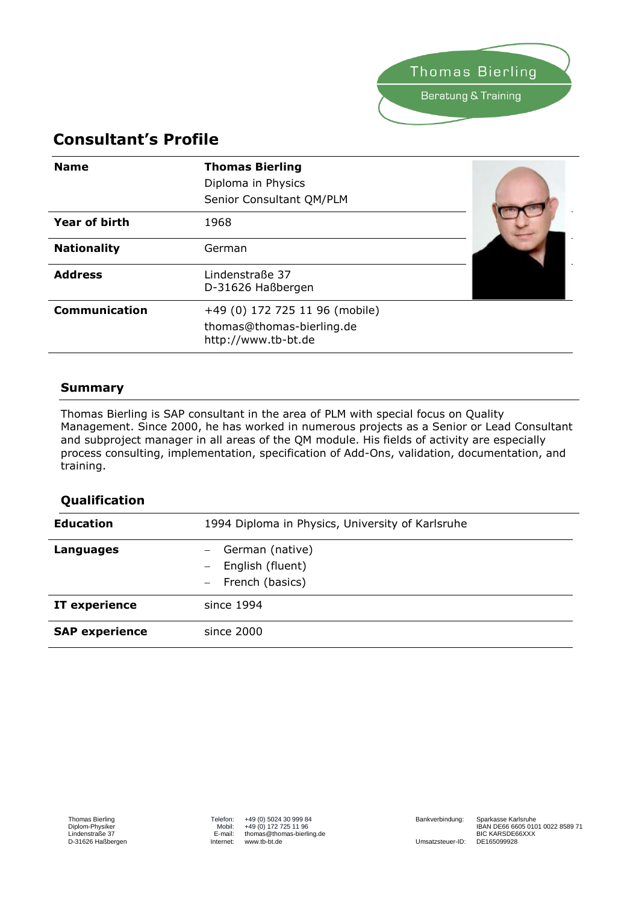

# **Consultant's Profile**

| <b>Name</b>          | <b>Thomas Bierling</b><br>Diploma in Physics<br>Senior Consultant QM/PLM           |  |
|----------------------|------------------------------------------------------------------------------------|--|
| <b>Year of birth</b> | 1968                                                                               |  |
| <b>Nationality</b>   | German                                                                             |  |
| <b>Address</b>       | Lindenstraße 37<br>D-31626 Haßbergen                                               |  |
| <b>Communication</b> | +49 (0) 172 725 11 96 (mobile)<br>thomas@thomas-bierling.de<br>http://www.tb-bt.de |  |

#### **Summary**

Thomas Bierling is SAP consultant in the area of PLM with special focus on Quality Management. Since 2000, he has worked in numerous projects as a Senior or Lead Consultant and subproject manager in all areas of the QM module. His fields of activity are especially process consulting, implementation, specification of Add-Ons, validation, documentation, and training.

### **Qualification**

| <b>Education</b>      | 1994 Diploma in Physics, University of Karlsruhe       |
|-----------------------|--------------------------------------------------------|
| <b>Languages</b>      | German (native)<br>English (fluent)<br>French (basics) |
| IT experience         | since 1994                                             |
| <b>SAP experience</b> | since 2000                                             |

Umsatzsteuer-ID: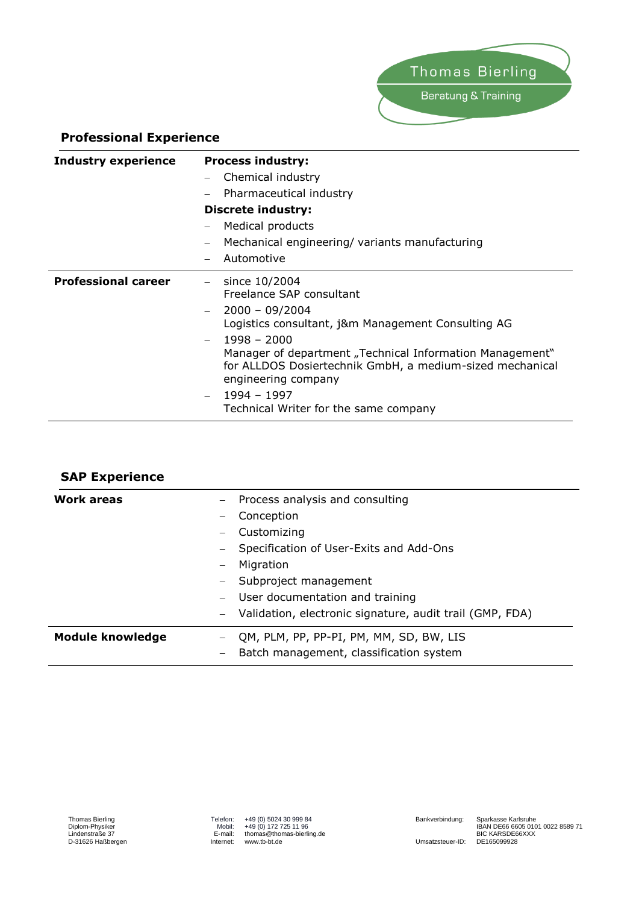

#### **Professional Experience**

| <b>Industry experience</b> | <b>Process industry:</b>                                                                                                                    |
|----------------------------|---------------------------------------------------------------------------------------------------------------------------------------------|
|                            | Chemical industry                                                                                                                           |
|                            | Pharmaceutical industry                                                                                                                     |
|                            | <b>Discrete industry:</b>                                                                                                                   |
|                            | Medical products                                                                                                                            |
|                            | Mechanical engineering/variants manufacturing                                                                                               |
|                            | Automotive                                                                                                                                  |
| <b>Professional career</b> | since 10/2004<br>Freelance SAP consultant                                                                                                   |
|                            | $2000 - 09/2004$<br>Logistics consultant, j&m Management Consulting AG<br>$1998 - 2000$                                                     |
|                            | Manager of department "Technical Information Management"<br>for ALLDOS Dosiertechnik GmbH, a medium-sized mechanical<br>engineering company |
|                            | 1994 - 1997<br>Technical Writer for the same company                                                                                        |

| <b>SAP Experience</b>   |                                                                                                                                                                                                                                              |
|-------------------------|----------------------------------------------------------------------------------------------------------------------------------------------------------------------------------------------------------------------------------------------|
| <b>Work areas</b>       | Process analysis and consulting<br>Conception<br>Customizing<br>Specification of User-Exits and Add-Ons<br>Migration<br>Subproject management<br>User documentation and training<br>Validation, electronic signature, audit trail (GMP, FDA) |
| <b>Module knowledge</b> | QM, PLM, PP, PP-PI, PM, MM, SD, BW, LIS<br>Batch management, classification system                                                                                                                                                           |

Telefon: +49 (0) 5024 30 999 84 Mobil: +49 (0) 172 725 11 96 E-mail: thomas@thomas-bierling.de Internet: www.tb-bt.de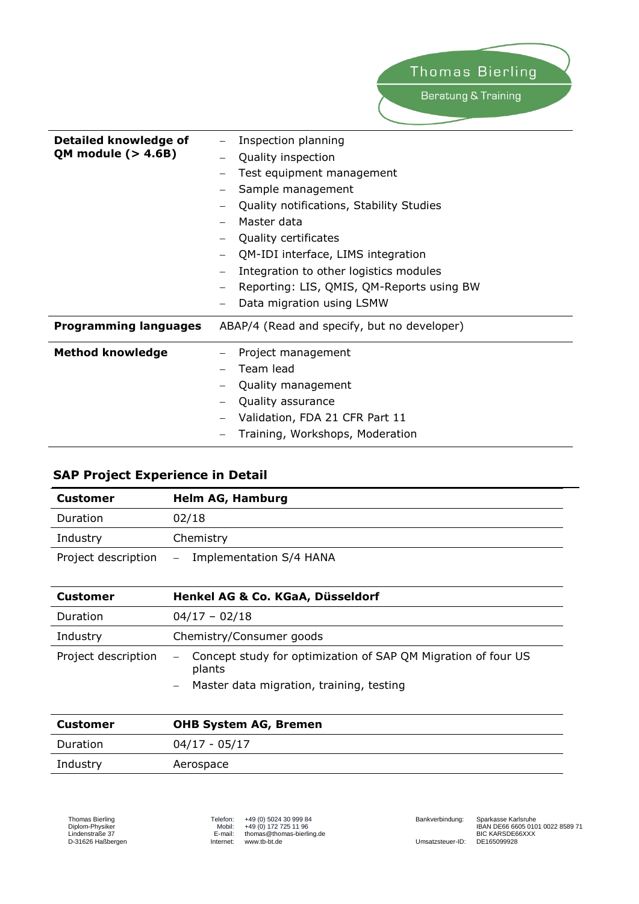| Detailed knowledge of        | Inspection planning                                   |
|------------------------------|-------------------------------------------------------|
| <b>QM module (&gt; 4.6B)</b> | Quality inspection                                    |
|                              | Test equipment management<br>$\overline{\phantom{0}}$ |
|                              | Sample management                                     |
|                              | Quality notifications, Stability Studies              |
|                              | Master data                                           |
|                              | Quality certificates<br>$\overline{\phantom{m}}$      |
|                              | QM-IDI interface, LIMS integration                    |
|                              | Integration to other logistics modules                |
|                              | Reporting: LIS, QMIS, QM-Reports using BW             |
|                              | Data migration using LSMW                             |
| <b>Programming languages</b> | ABAP/4 (Read and specify, but no developer)           |
| <b>Method knowledge</b>      | Project management                                    |
|                              | Team lead                                             |
|                              | Quality management                                    |
|                              | Quality assurance                                     |
|                              | Validation, FDA 21 CFR Part 11                        |
|                              | Training, Workshops, Moderation                       |

## **SAP Project Experience in Detail**

| <b>Customer</b>     | <b>Helm AG, Hamburg</b>     |
|---------------------|-----------------------------|
| Duration            | 02/18                       |
| Industry            | Chemistry                   |
| Project description | $-$ Implementation S/4 HANA |

| <b>Customer</b>     | Henkel AG & Co. KGaA, Düsseldorf                                                                                      |
|---------------------|-----------------------------------------------------------------------------------------------------------------------|
| Duration            | $04/17 - 02/18$                                                                                                       |
| Industry            | Chemistry/Consumer goods                                                                                              |
| Project description | - Concept study for optimization of SAP QM Migration of four US<br>plants<br>Master data migration, training, testing |

| Customer | <b>OHB System AG, Bremen</b> |
|----------|------------------------------|
| Duration | 04/17 - 05/17                |
| Industry | Aerospace                    |

Telefon: +49 (0) 5024 30 999 84 Mobil: +49 (0) 172 725 11 96 E-mail: thomas@thomas-bierling.de Internet: www.tb-bt.de

Umsatzsteuer-ID: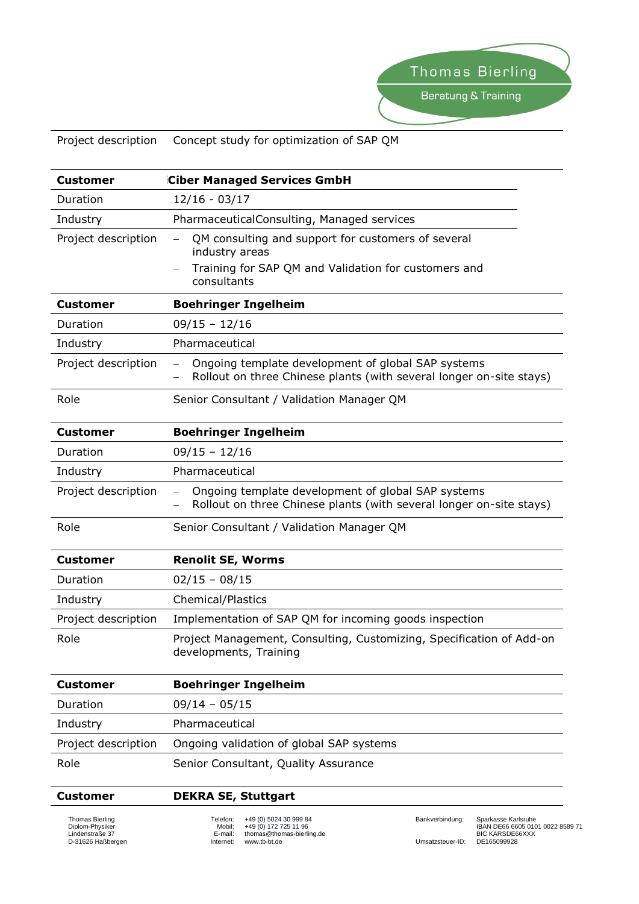## Project description Concept study for optimization of SAP QM

| <b>Customer</b>     | <b>Ciber Managed Services GmbH</b>                                                                                                                                      |
|---------------------|-------------------------------------------------------------------------------------------------------------------------------------------------------------------------|
| Duration            | $12/16 - 03/17$                                                                                                                                                         |
| Industry            | PharmaceuticalConsulting, Managed services                                                                                                                              |
| Project description | QM consulting and support for customers of several<br>$\overline{\phantom{0}}$<br>industry areas<br>Training for SAP QM and Validation for customers and<br>consultants |
| <b>Customer</b>     | <b>Boehringer Ingelheim</b>                                                                                                                                             |
| Duration            | $09/15 - 12/16$                                                                                                                                                         |
| Industry            | Pharmaceutical                                                                                                                                                          |
| Project description | Ongoing template development of global SAP systems<br>$\qquad \qquad -$<br>Rollout on three Chinese plants (with several longer on-site stays)                          |
| Role                | Senior Consultant / Validation Manager QM                                                                                                                               |
| <b>Customer</b>     | <b>Boehringer Ingelheim</b>                                                                                                                                             |
| Duration            | $09/15 - 12/16$                                                                                                                                                         |
| Industry            | Pharmaceutical                                                                                                                                                          |
| Project description | Ongoing template development of global SAP systems<br>$\qquad \qquad -$<br>Rollout on three Chinese plants (with several longer on-site stays)<br>$\qquad \qquad -$     |
| Role                | Senior Consultant / Validation Manager QM                                                                                                                               |
| <b>Customer</b>     | <b>Renolit SE, Worms</b>                                                                                                                                                |
| Duration            | $02/15 - 08/15$                                                                                                                                                         |
| Industry            | <b>Chemical/Plastics</b>                                                                                                                                                |
| Project description | Implementation of SAP QM for incoming goods inspection                                                                                                                  |
| Role                | Project Management, Consulting, Customizing, Specification of Add-on<br>developments, Training                                                                          |
| <b>Customer</b>     | <b>Boehringer Ingelheim</b>                                                                                                                                             |
| Duration            | $09/14 - 05/15$                                                                                                                                                         |
| Industry            | Pharmaceutical                                                                                                                                                          |
| Project description | Ongoing validation of global SAP systems                                                                                                                                |
| Role                | Senior Consultant, Quality Assurance                                                                                                                                    |

#### **Customer DEKRA SE, Stuttgart**

Thomas Bierling Diplom-Physiker Lindenstraße 37 D-31626 Haßbergen Telefon: +49 (0) 5024 30 999 84 Mobil: +49 (0) 172 725 11 96 E-mail: thomas@thomas-bierling.de Internet: www.tb-bt.de

Umsatzsteuer-ID:

Bankverbindung: Sparkasse Karlsruhe IBAN DE66 6605 0101 0022 8589 71 BIC KARSDE66XXX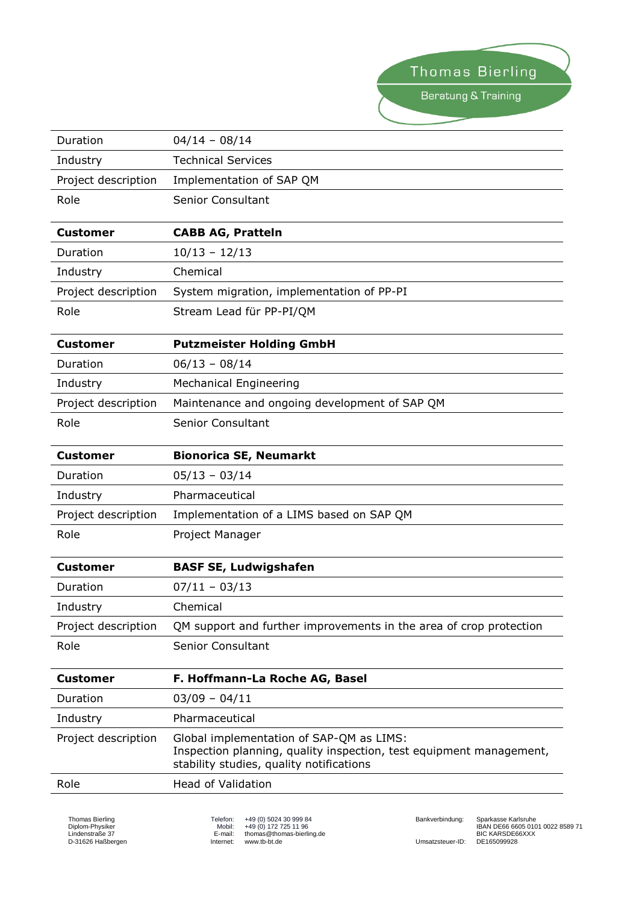Thomas Bierling Beratung & Training

| Duration            | $04/14 - 08/14$                                                                                                                                             |
|---------------------|-------------------------------------------------------------------------------------------------------------------------------------------------------------|
| Industry            | <b>Technical Services</b>                                                                                                                                   |
| Project description | Implementation of SAP QM                                                                                                                                    |
| Role                | <b>Senior Consultant</b>                                                                                                                                    |
| <b>Customer</b>     | <b>CABB AG, Pratteln</b>                                                                                                                                    |
| Duration            | $10/13 - 12/13$                                                                                                                                             |
| Industry            | Chemical                                                                                                                                                    |
| Project description | System migration, implementation of PP-PI                                                                                                                   |
| Role                | Stream Lead für PP-PI/QM                                                                                                                                    |
| <b>Customer</b>     | <b>Putzmeister Holding GmbH</b>                                                                                                                             |
| Duration            | $06/13 - 08/14$                                                                                                                                             |
| Industry            | <b>Mechanical Engineering</b>                                                                                                                               |
| Project description | Maintenance and ongoing development of SAP QM                                                                                                               |
| Role                | <b>Senior Consultant</b>                                                                                                                                    |
| <b>Customer</b>     | <b>Bionorica SE, Neumarkt</b>                                                                                                                               |
| Duration            | $05/13 - 03/14$                                                                                                                                             |
| Industry            | Pharmaceutical                                                                                                                                              |
| Project description | Implementation of a LIMS based on SAP QM                                                                                                                    |
| Role                | Project Manager                                                                                                                                             |
| <b>Customer</b>     | <b>BASF SE, Ludwigshafen</b>                                                                                                                                |
| Duration            | $07/11 - 03/13$                                                                                                                                             |
| Industry            | Chemical                                                                                                                                                    |
| Project description | QM support and further improvements in the area of crop protection                                                                                          |
| Role                | Senior Consultant                                                                                                                                           |
| Customer            | F. Hoffmann-La Roche AG, Basel                                                                                                                              |
| Duration            | $03/09 - 04/11$                                                                                                                                             |
| Industry            | Pharmaceutical                                                                                                                                              |
| Project description | Global implementation of SAP-QM as LIMS:<br>Inspection planning, quality inspection, test equipment management,<br>stability studies, quality notifications |
| Role                | <b>Head of Validation</b>                                                                                                                                   |
|                     |                                                                                                                                                             |

Thomas Bierling Diplom-Physiker Lindenstraße 37 D-31626 Haßbergen

Telefon: +49 (0) 5024 30 999 84 Mobil: +49 (0) 172 725 11 96 E-mail: thomas@thomas-bierling.de Internet: www.tb-bt.de

Bankverbindung: Sparkasse Karlsruhe IBAN DE66 6605 0101 0022 8589 71 BIC KARSDE66XXX Umsatzsteuer-ID: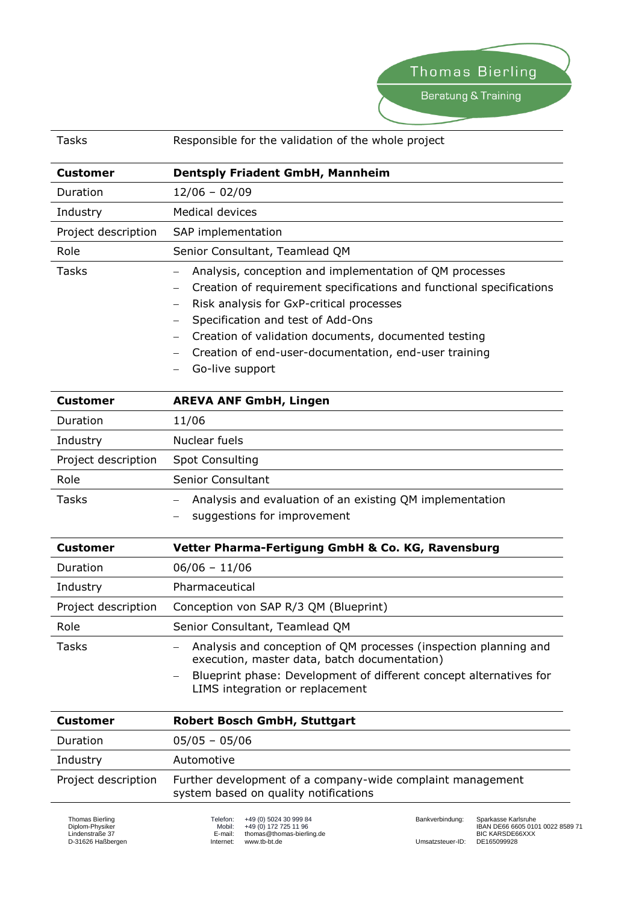Beratung & Training

| Tasks               | Responsible for the validation of the whole project                                                                                                                                                                                                                                                                                                  |
|---------------------|------------------------------------------------------------------------------------------------------------------------------------------------------------------------------------------------------------------------------------------------------------------------------------------------------------------------------------------------------|
| Customer            | <b>Dentsply Friadent GmbH, Mannheim</b>                                                                                                                                                                                                                                                                                                              |
| Duration            | $12/06 - 02/09$                                                                                                                                                                                                                                                                                                                                      |
| Industry            | Medical devices                                                                                                                                                                                                                                                                                                                                      |
| Project description | SAP implementation                                                                                                                                                                                                                                                                                                                                   |
| Role                | Senior Consultant, Teamlead QM                                                                                                                                                                                                                                                                                                                       |
| Tasks               | Analysis, conception and implementation of QM processes<br>Creation of requirement specifications and functional specifications<br>Risk analysis for GxP-critical processes<br>Specification and test of Add-Ons<br>Creation of validation documents, documented testing<br>Creation of end-user-documentation, end-user training<br>Go-live support |

| <b>Customer</b>     | <b>AREVA ANF GmbH, Lingen</b>                                                           |
|---------------------|-----------------------------------------------------------------------------------------|
| Duration            | 11/06                                                                                   |
| Industry            | Nuclear fuels                                                                           |
| Project description | Spot Consulting                                                                         |
| Role                | Senior Consultant                                                                       |
| <b>Tasks</b>        | Analysis and evaluation of an existing QM implementation<br>suggestions for improvement |

| <b>Customer</b>     | Vetter Pharma-Fertigung GmbH & Co. KG, Ravensburg                                                                |
|---------------------|------------------------------------------------------------------------------------------------------------------|
| <b>Duration</b>     | $06/06 - 11/06$                                                                                                  |
| Industry            | Pharmaceutical                                                                                                   |
| Project description | Conception von SAP R/3 QM (Blueprint)                                                                            |
| Role                | Senior Consultant, Teamlead QM                                                                                   |
| <b>Tasks</b>        | Analysis and conception of QM processes (inspection planning and<br>execution, master data, batch documentation) |
|                     | Blueprint phase: Development of different concept alternatives for<br>LIMS integration or replacement            |

| <b>Customer</b>     | <b>Robert Bosch GmbH, Stuttgart</b>                                                                 |
|---------------------|-----------------------------------------------------------------------------------------------------|
| Duration            | $05/05 - 05/06$                                                                                     |
| Industry            | Automotive                                                                                          |
| Project description | Further development of a company-wide complaint management<br>system based on quality notifications |

Telefon: +49 (0) 5024 30 999 84 Mobil: +49 (0) 172 725 11 96 E-mail: thomas@thomas-bierling.de Internet: www.tb-bt.de

Bankverbindung: Sparkasse Karlsruhe IBAN DE66 6605 0101 0022 8589 71 BIC KARSDE66XXX Umsatzsteuer-ID: DE165099928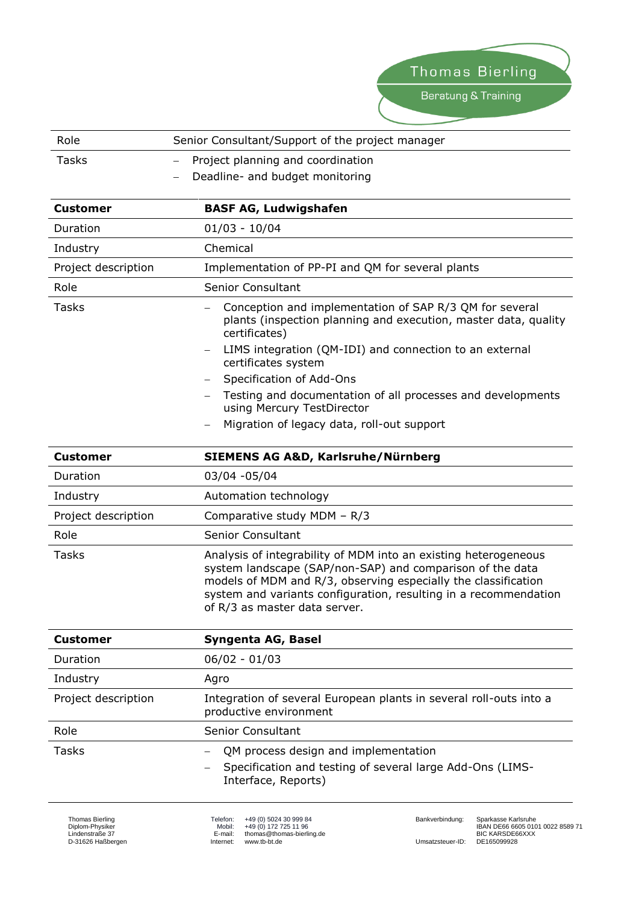| Role                | Senior Consultant/Support of the project manager                                                                                                                                                                                                                                                    |
|---------------------|-----------------------------------------------------------------------------------------------------------------------------------------------------------------------------------------------------------------------------------------------------------------------------------------------------|
| <b>Tasks</b>        | Project planning and coordination<br>$\equiv$                                                                                                                                                                                                                                                       |
|                     | Deadline- and budget monitoring                                                                                                                                                                                                                                                                     |
| <b>Customer</b>     | <b>BASF AG, Ludwigshafen</b>                                                                                                                                                                                                                                                                        |
| Duration            | $01/03 - 10/04$                                                                                                                                                                                                                                                                                     |
| Industry            | Chemical                                                                                                                                                                                                                                                                                            |
| Project description | Implementation of PP-PI and QM for several plants                                                                                                                                                                                                                                                   |
| Role                | <b>Senior Consultant</b>                                                                                                                                                                                                                                                                            |
| <b>Tasks</b>        | Conception and implementation of SAP R/3 QM for several<br>plants (inspection planning and execution, master data, quality<br>certificates)                                                                                                                                                         |
|                     | LIMS integration (QM-IDI) and connection to an external<br>certificates system                                                                                                                                                                                                                      |
|                     | Specification of Add-Ons<br>Testing and documentation of all processes and developments                                                                                                                                                                                                             |
|                     | using Mercury TestDirector                                                                                                                                                                                                                                                                          |
|                     | Migration of legacy data, roll-out support                                                                                                                                                                                                                                                          |
| <b>Customer</b>     | <b>SIEMENS AG A&amp;D, Karlsruhe/Nürnberg</b>                                                                                                                                                                                                                                                       |
| Duration            | 03/04 -05/04                                                                                                                                                                                                                                                                                        |
| Industry            | Automation technology                                                                                                                                                                                                                                                                               |
| Project description | Comparative study MDM - R/3                                                                                                                                                                                                                                                                         |
| Role                | <b>Senior Consultant</b>                                                                                                                                                                                                                                                                            |
| Tasks               | Analysis of integrability of MDM into an existing heterogeneous<br>system landscape (SAP/non-SAP) and comparison of the data<br>models of MDM and R/3, observing especially the classification<br>system and variants configuration, resulting in a recommendation<br>of R/3 as master data server. |
| <b>Customer</b>     | Syngenta AG, Basel                                                                                                                                                                                                                                                                                  |
| Duration            | $06/02 - 01/03$                                                                                                                                                                                                                                                                                     |
| Industry            | Agro                                                                                                                                                                                                                                                                                                |
| Project description | Integration of several European plants in several roll-outs into a<br>productive environment                                                                                                                                                                                                        |
| Role                | <b>Senior Consultant</b>                                                                                                                                                                                                                                                                            |
| Tasks               | QM process design and implementation<br>Specification and testing of several large Add-Ons (LIMS-<br>Interface, Reports)                                                                                                                                                                            |

Thomas Bierling Diplom-Physiker Lindenstraße 37 D-31626 Haßbergen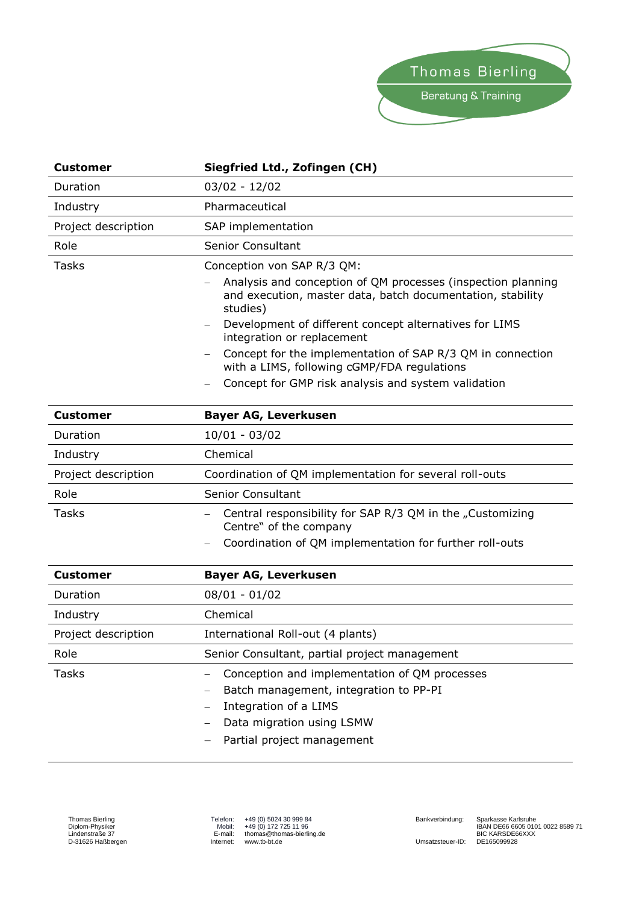

| <b>Customer</b>     | Siegfried Ltd., Zofingen (CH)                                                                                                          |
|---------------------|----------------------------------------------------------------------------------------------------------------------------------------|
| Duration            | $03/02 - 12/02$                                                                                                                        |
| Industry            | Pharmaceutical                                                                                                                         |
| Project description | SAP implementation                                                                                                                     |
| Role                | Senior Consultant                                                                                                                      |
| Tasks               | Conception von SAP R/3 QM:                                                                                                             |
|                     | Analysis and conception of QM processes (inspection planning<br>and execution, master data, batch documentation, stability<br>studies) |
|                     | Development of different concept alternatives for LIMS<br>$\overline{\phantom{m}}$<br>integration or replacement                       |
|                     | Concept for the implementation of SAP R/3 QM in connection<br>with a LIMS, following cGMP/FDA regulations                              |
|                     | Concept for GMP risk analysis and system validation                                                                                    |

| <b>Customer</b>     | <b>Bayer AG, Leverkusen</b>                                                         |
|---------------------|-------------------------------------------------------------------------------------|
| Duration            | $10/01 - 03/02$                                                                     |
| Industry            | Chemical                                                                            |
| Project description | Coordination of QM implementation for several roll-outs                             |
| Role                | <b>Senior Consultant</b>                                                            |
| <b>Tasks</b>        | Central responsibility for SAP R/3 QM in the "Customizing<br>Centre" of the company |
|                     | Coordination of QM implementation for further roll-outs                             |

| <b>Customer</b>     | <b>Bayer AG, Leverkusen</b>                                                                                                                                                 |
|---------------------|-----------------------------------------------------------------------------------------------------------------------------------------------------------------------------|
| Duration            | $08/01 - 01/02$                                                                                                                                                             |
| Industry            | Chemical                                                                                                                                                                    |
| Project description | International Roll-out (4 plants)                                                                                                                                           |
| Role                | Senior Consultant, partial project management                                                                                                                               |
| <b>Tasks</b>        | Conception and implementation of QM processes<br>Batch management, integration to PP-PI<br>Integration of a LIMS<br>Data migration using LSMW<br>Partial project management |